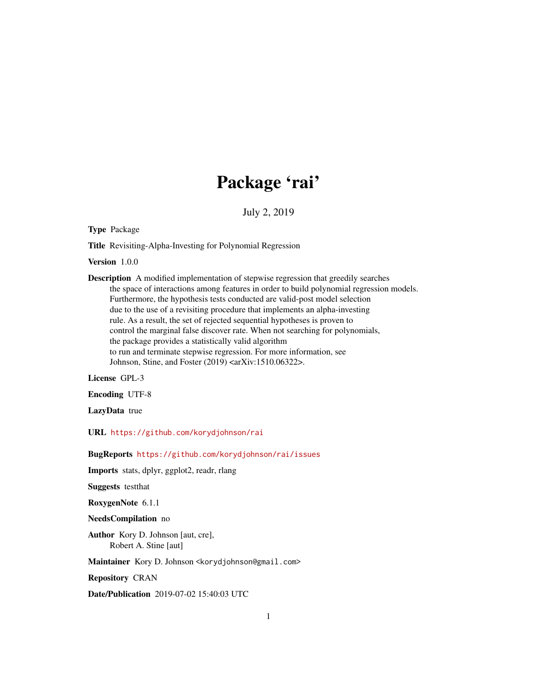## Package 'rai'

July 2, 2019

Type Package

Title Revisiting-Alpha-Investing for Polynomial Regression

Version 1.0.0

Description A modified implementation of stepwise regression that greedily searches the space of interactions among features in order to build polynomial regression models. Furthermore, the hypothesis tests conducted are valid-post model selection due to the use of a revisiting procedure that implements an alpha-investing rule. As a result, the set of rejected sequential hypotheses is proven to control the marginal false discover rate. When not searching for polynomials, the package provides a statistically valid algorithm to run and terminate stepwise regression. For more information, see Johnson, Stine, and Foster (2019) <arXiv:1510.06322>.

License GPL-3

Encoding UTF-8

LazyData true

URL <https://github.com/korydjohnson/rai>

BugReports <https://github.com/korydjohnson/rai/issues>

Imports stats, dplyr, ggplot2, readr, rlang

Suggests testthat

RoxygenNote 6.1.1

NeedsCompilation no

Author Kory D. Johnson [aut, cre], Robert A. Stine [aut]

Maintainer Kory D. Johnson <korydjohnson@gmail.com>

Repository CRAN

Date/Publication 2019-07-02 15:40:03 UTC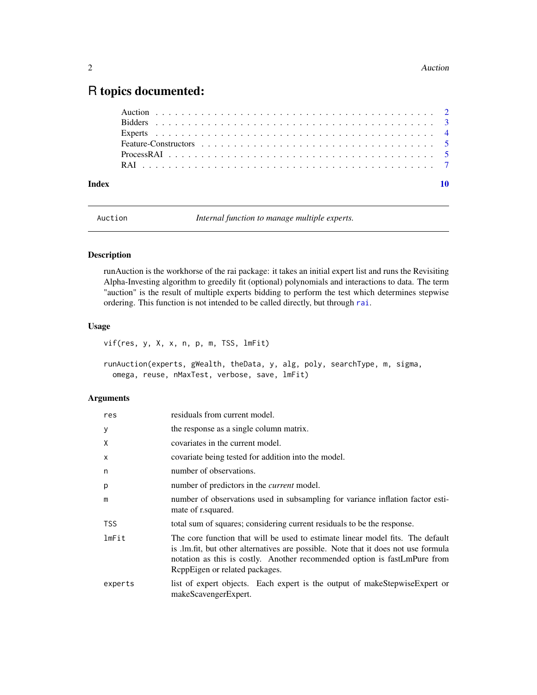### <span id="page-1-0"></span>R topics documented:

| Index |  |
|-------|--|
|       |  |
|       |  |
|       |  |
|       |  |
|       |  |
|       |  |

Auction *Internal function to manage multiple experts.*

#### <span id="page-1-1"></span>Description

runAuction is the workhorse of the rai package: it takes an initial expert list and runs the Revisiting Alpha-Investing algorithm to greedily fit (optional) polynomials and interactions to data. The term "auction" is the result of multiple experts bidding to perform the test which determines stepwise ordering. This function is not intended to be called directly, but through [rai](#page-6-1).

#### Usage

vif(res, y, X, x, n, p, m, TSS, lmFit)

runAuction(experts, gWealth, theData, y, alg, poly, searchType, m, sigma, omega, reuse, nMaxTest, verbose, save, lmFit)

#### Arguments

| res        | residuals from current model.                                                                                                                                                                                                                                                       |
|------------|-------------------------------------------------------------------------------------------------------------------------------------------------------------------------------------------------------------------------------------------------------------------------------------|
| У          | the response as a single column matrix.                                                                                                                                                                                                                                             |
| X          | covariates in the current model.                                                                                                                                                                                                                                                    |
| X          | covariate being tested for addition into the model.                                                                                                                                                                                                                                 |
| n          | number of observations.                                                                                                                                                                                                                                                             |
| p          | number of predictors in the <i>current</i> model.                                                                                                                                                                                                                                   |
| m          | number of observations used in subsampling for variance inflation factor esti-<br>mate of r.squared.                                                                                                                                                                                |
| <b>TSS</b> | total sum of squares; considering current residuals to be the response.                                                                                                                                                                                                             |
| lmFit      | The core function that will be used to estimate linear model fits. The default<br>is .lm.fit, but other alternatives are possible. Note that it does not use formula<br>notation as this is costly. Another recommended option is fastLmPure from<br>ReppEigen or related packages. |
| experts    | list of expert objects. Each expert is the output of makeStepwiseExpert or<br>makeScavengerExpert.                                                                                                                                                                                  |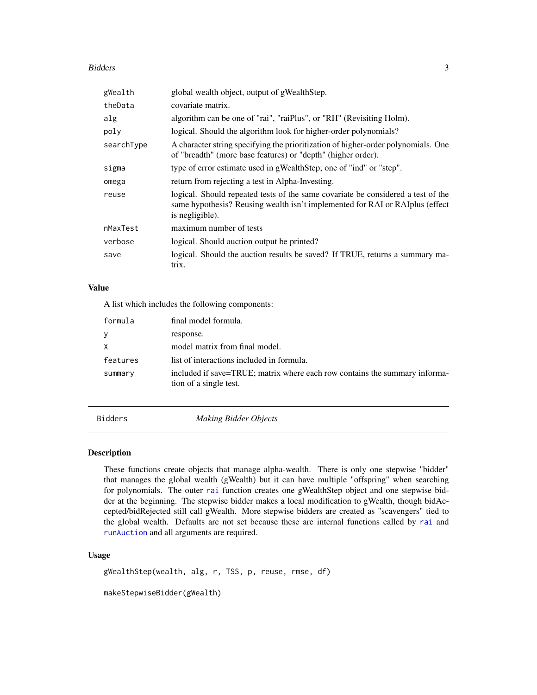#### <span id="page-2-0"></span>Bidders 3

| gWealth    | global wealth object, output of gWealthStep.                                                                                                                                         |
|------------|--------------------------------------------------------------------------------------------------------------------------------------------------------------------------------------|
| theData    | covariate matrix.                                                                                                                                                                    |
| alg        | algorithm can be one of "rai", "raiPlus", or "RH" (Revisiting Holm).                                                                                                                 |
| poly       | logical. Should the algorithm look for higher-order polynomials?                                                                                                                     |
| searchType | A character string specifying the prioritization of higher-order polynomials. One<br>of "breadth" (more base features) or "depth" (higher order).                                    |
| sigma      | type of error estimate used in gWealthStep; one of "ind" or "step".                                                                                                                  |
| omega      | return from rejecting a test in Alpha-Investing.                                                                                                                                     |
| reuse      | logical. Should repeated tests of the same covariate be considered a test of the<br>same hypothesis? Reusing wealth isn't implemented for RAI or RAI plus (effect<br>is negligible). |
| nMaxTest   | maximum number of tests                                                                                                                                                              |
| verbose    | logical. Should auction output be printed?                                                                                                                                           |
| save       | logical. Should the auction results be saved? If TRUE, returns a summary ma-<br>trix.                                                                                                |

#### Value

A list which includes the following components:

| formula  | final model formula.                                                                                 |
|----------|------------------------------------------------------------------------------------------------------|
| y        | response.                                                                                            |
| X        | model matrix from final model.                                                                       |
| features | list of interactions included in formula.                                                            |
| summary  | included if save=TRUE; matrix where each row contains the summary informa-<br>tion of a single test. |

Bidders *Making Bidder Objects*

#### Description

These functions create objects that manage alpha-wealth. There is only one stepwise "bidder" that manages the global wealth (gWealth) but it can have multiple "offspring" when searching for polynomials. The outer [rai](#page-6-1) function creates one gWealthStep object and one stepwise bidder at the beginning. The stepwise bidder makes a local modification to gWealth, though bidAccepted/bidRejected still call gWealth. More stepwise bidders are created as "scavengers" tied to the global wealth. Defaults are not set because these are internal functions called by [rai](#page-6-1) and [runAuction](#page-1-1) and all arguments are required.

#### Usage

gWealthStep(wealth, alg, r, TSS, p, reuse, rmse, df)

makeStepwiseBidder(gWealth)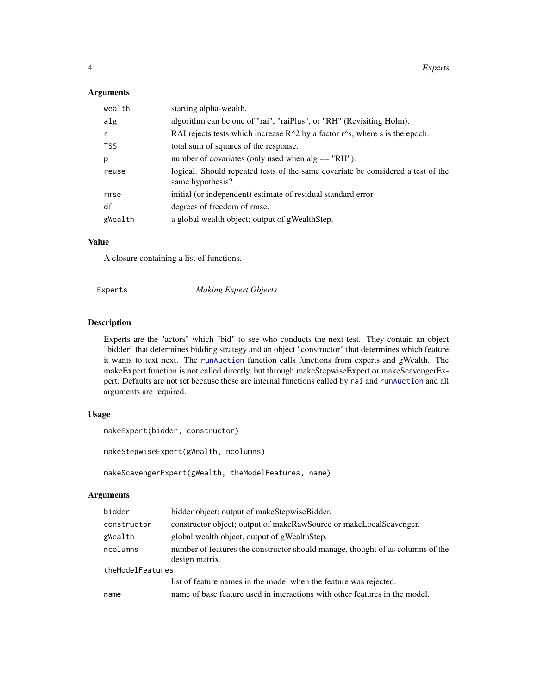#### <span id="page-3-0"></span>Arguments

| wealth     | starting alpha-wealth.                                                                                       |
|------------|--------------------------------------------------------------------------------------------------------------|
| alg        | algorithm can be one of "rai", "raiPlus", or "RH" (Revisiting Holm).                                         |
| r          | RAI rejects tests which increase $R^2$ by a factor r <sup><math>\wedge</math></sup> s, where s is the epoch. |
| <b>TSS</b> | total sum of squares of the response.                                                                        |
| p          | number of covariates (only used when $alg == "RH"$ ).                                                        |
| reuse      | logical. Should repeated tests of the same covariate be considered a test of the<br>same hypothesis?         |
| rmse       | initial (or independent) estimate of residual standard error                                                 |
| df         | degrees of freedom of rmse.                                                                                  |
| gWealth    | a global wealth object; output of gWealthStep.                                                               |

#### Value

A closure containing a list of functions.

Experts *Making Expert Objects*

#### Description

Experts are the "actors" which "bid" to see who conducts the next test. They contain an object "bidder" that determines bidding strategy and an object "constructor" that determines which feature it wants to text next. The [runAuction](#page-1-1) function calls functions from experts and gWealth. The makeExpert function is not called directly, but through makeStepwiseExpert or makeScavengerExpert. Defaults are not set because these are internal functions called by [rai](#page-6-1) and [runAuction](#page-1-1) and all arguments are required.

#### Usage

```
makeExpert(bidder, constructor)
```
makeStepwiseExpert(gWealth, ncolumns)

makeScavengerExpert(gWealth, theModelFeatures, name)

#### Arguments

| bidder           | bidder object; output of makeStepwiseBidder.                                   |  |
|------------------|--------------------------------------------------------------------------------|--|
| constructor      | constructor object; output of makeRawSource or makeLocalScavenger.             |  |
| gWealth          | global wealth object, output of gWealthStep.                                   |  |
| ncolumns         | number of features the constructor should manage, thought of as columns of the |  |
|                  | design matrix.                                                                 |  |
| theModelFeatures |                                                                                |  |
|                  | list of feature names in the model when the feature was rejected.              |  |
| name             | name of base feature used in interactions with other features in the model.    |  |
|                  |                                                                                |  |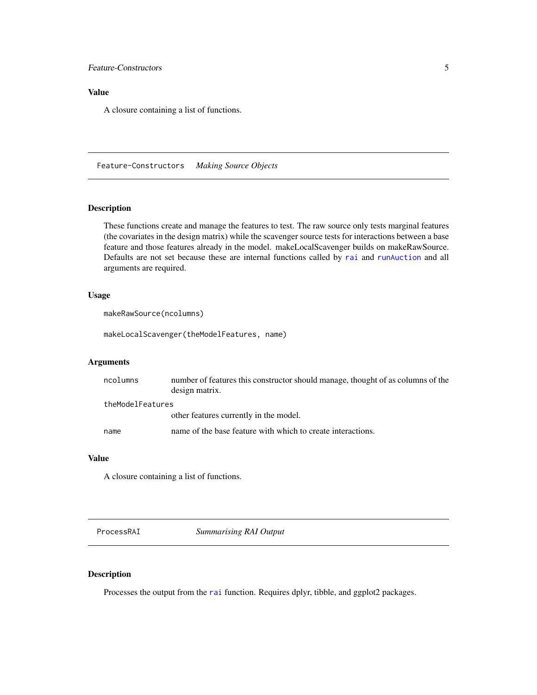#### <span id="page-4-0"></span>Feature-Constructors 5

#### Value

A closure containing a list of functions.

Feature-Constructors *Making Source Objects*

#### Description

These functions create and manage the features to test. The raw source only tests marginal features (the covariates in the design matrix) while the scavenger source tests for interactions between a base feature and those features already in the model. makeLocalScavenger builds on makeRawSource. Defaults are not set because these are internal functions called by [rai](#page-6-1) and [runAuction](#page-1-1) and all arguments are required.

#### Usage

```
makeRawSource(ncolumns)
```
makeLocalScavenger(theModelFeatures, name)

#### Arguments

| ncolumns         | number of features this constructor should manage, thought of as columns of the<br>design matrix. |
|------------------|---------------------------------------------------------------------------------------------------|
| theModelFeatures |                                                                                                   |
|                  | other features currently in the model.                                                            |
| name             | name of the base feature with which to create interactions.                                       |

#### Value

A closure containing a list of functions.

ProcessRAI *Summarising RAI Output*

#### Description

Processes the output from the [rai](#page-6-1) function. Requires dplyr, tibble, and ggplot2 packages.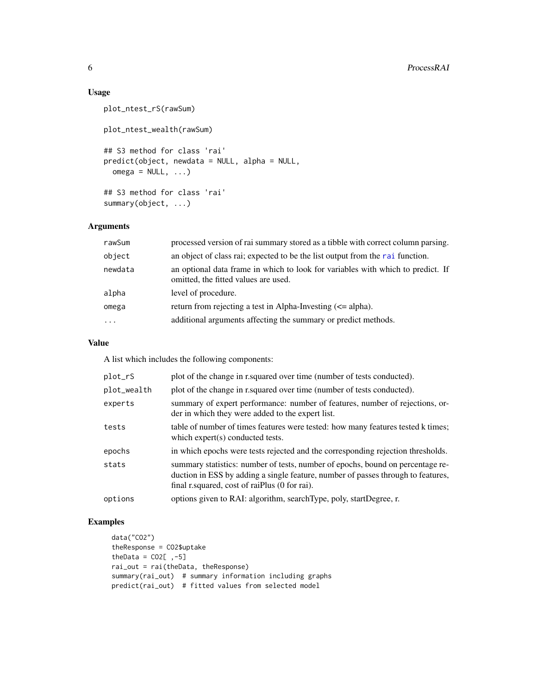#### Usage

```
plot_ntest_rS(rawSum)
plot_ntest_wealth(rawSum)
## S3 method for class 'rai'
predict(object, newdata = NULL, alpha = NULL,
 omega = NULL, ...## S3 method for class 'rai'
summary(object, ...)
```
#### Arguments

| rawSum    | processed version of rai summary stored as a tibble with correct column parsing.                                        |
|-----------|-------------------------------------------------------------------------------------------------------------------------|
| object    | an object of class rai; expected to be the list output from the rai function.                                           |
| newdata   | an optional data frame in which to look for variables with which to predict. If<br>omitted, the fitted values are used. |
| alpha     | level of procedure.                                                                                                     |
| omega     | return from rejecting a test in Alpha-Investing $(\leq a)$ lpha).                                                       |
| $\ddotsc$ | additional arguments affecting the summary or predict methods.                                                          |

#### Value

A list which includes the following components:

| plot_rS     | plot of the change in r. squared over time (number of tests conducted).                                                                                                                                              |
|-------------|----------------------------------------------------------------------------------------------------------------------------------------------------------------------------------------------------------------------|
| plot_wealth | plot of the change in r. squared over time (number of tests conducted).                                                                                                                                              |
| experts     | summary of expert performance: number of features, number of rejections, or-<br>der in which they were added to the expert list.                                                                                     |
| tests       | table of number of times features were tested: how many features tested k times;<br>which expert(s) conducted tests.                                                                                                 |
| epochs      | in which epochs were tests rejected and the corresponding rejection thresholds.                                                                                                                                      |
| stats       | summary statistics: number of tests, number of epochs, bound on percentage re-<br>duction in ESS by adding a single feature, number of passes through to features,<br>final r. squared, cost of raiplus (0 for rai). |
| options     | options given to RAI: algorithm, searchType, poly, startDegree, r.                                                                                                                                                   |

#### Examples

```
data("CO2")
theResponse = CO2$uptake
theData = CO2[,-5]
rai_out = rai(theData, theResponse)
summary(rai_out) # summary information including graphs
predict(rai_out) # fitted values from selected model
```
<span id="page-5-0"></span>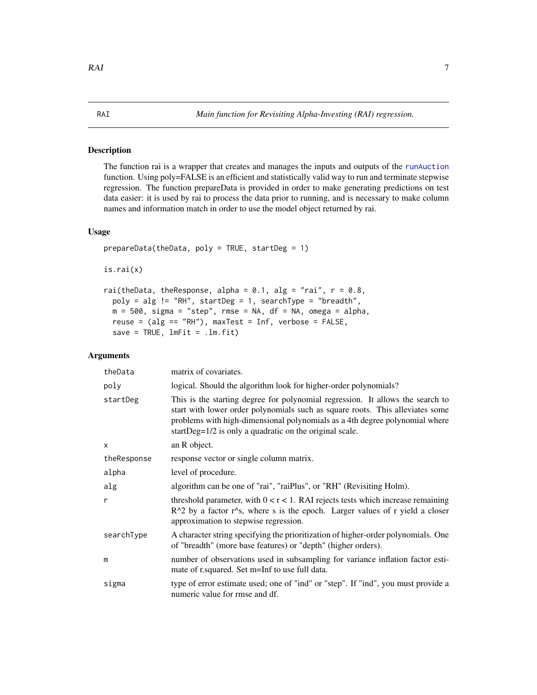#### <span id="page-6-1"></span><span id="page-6-0"></span>Description

The function rai is a wrapper that creates and manages the inputs and outputs of the [runAuction](#page-1-1) function. Using poly=FALSE is an efficient and statistically valid way to run and terminate stepwise regression. The function prepareData is provided in order to make generating predictions on test data easier: it is used by rai to process the data prior to running, and is necessary to make column names and information match in order to use the model object returned by rai.

#### Usage

```
prepareData(theData, poly = TRUE, startDeg = 1)
is.rai(x)
rai(theData, theResponse, alpha = 0.1, alg = "rai", r = 0.8,
  poly = alg != "RH", startDeg = 1, searchType = "breadth",
 m = 500, sigma = "step", rmse = NA, df = NA, omega = alpha,
  reuse = (alg == "RH"), maxTest = Inf, verbose = FALSE,
  save = TRUE, ImFit = .lm.fit)
```
#### Arguments

| theData     | matrix of covariates.                                                                                                                                                                                                                                                                                     |
|-------------|-----------------------------------------------------------------------------------------------------------------------------------------------------------------------------------------------------------------------------------------------------------------------------------------------------------|
| poly        | logical. Should the algorithm look for higher-order polynomials?                                                                                                                                                                                                                                          |
| startDeg    | This is the starting degree for polynomial regression. It allows the search to<br>start with lower order polynomials such as square roots. This alleviates some<br>problems with high-dimensional polynomials as a 4th degree polynomial where<br>startDeg=1/2 is only a quadratic on the original scale. |
| X           | an R object.                                                                                                                                                                                                                                                                                              |
| theResponse | response vector or single column matrix.                                                                                                                                                                                                                                                                  |
| alpha       | level of procedure.                                                                                                                                                                                                                                                                                       |
| alg         | algorithm can be one of "rai", "raiPlus", or "RH" (Revisiting Holm).                                                                                                                                                                                                                                      |
| r           | threshold parameter, with $0 < r < 1$ . RAI rejects tests which increase remaining<br>$R^2$ by a factor r <sup><math>\wedge</math></sup> s, where s is the epoch. Larger values of r yield a closer<br>approximation to stepwise regression.                                                              |
| searchType  | A character string specifying the prioritization of higher-order polynomials. One<br>of "breadth" (more base features) or "depth" (higher orders).                                                                                                                                                        |
| m           | number of observations used in subsampling for variance inflation factor esti-<br>mate of r.squared. Set m=Inf to use full data.                                                                                                                                                                          |
| sigma       | type of error estimate used; one of "ind" or "step". If "ind", you must provide a<br>numeric value for rmse and df.                                                                                                                                                                                       |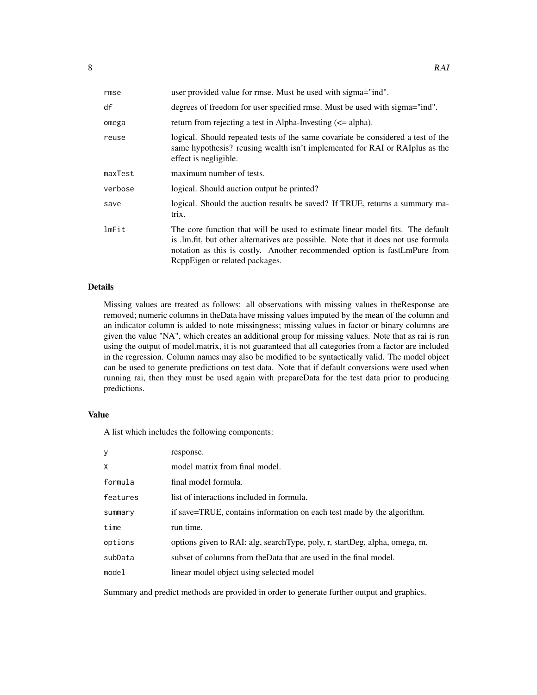| rmse    | user provided value for rmse. Must be used with sigma="ind".                                                                                                                                                                                                                        |
|---------|-------------------------------------------------------------------------------------------------------------------------------------------------------------------------------------------------------------------------------------------------------------------------------------|
| df      | degrees of freedom for user specified rmse. Must be used with sigma="ind".                                                                                                                                                                                                          |
| omega   | return from rejecting a test in Alpha-Investing $(\leq)$ alpha).                                                                                                                                                                                                                    |
| reuse   | logical. Should repeated tests of the same covariate be considered a test of the<br>same hypothesis? reusing wealth isn't implemented for RAI or RAI plus as the<br>effect is negligible.                                                                                           |
| maxTest | maximum number of tests.                                                                                                                                                                                                                                                            |
| verbose | logical. Should auction output be printed?                                                                                                                                                                                                                                          |
| save    | logical. Should the auction results be saved? If TRUE, returns a summary ma-<br>trix.                                                                                                                                                                                               |
| lmFit   | The core function that will be used to estimate linear model fits. The default<br>is .lm.fit, but other alternatives are possible. Note that it does not use formula<br>notation as this is costly. Another recommended option is fastLmPure from<br>ReppEigen or related packages. |

#### Details

Missing values are treated as follows: all observations with missing values in theResponse are removed; numeric columns in theData have missing values imputed by the mean of the column and an indicator column is added to note missingness; missing values in factor or binary columns are given the value "NA", which creates an additional group for missing values. Note that as rai is run using the output of model.matrix, it is not guaranteed that all categories from a factor are included in the regression. Column names may also be modified to be syntactically valid. The model object can be used to generate predictions on test data. Note that if default conversions were used when running rai, then they must be used again with prepareData for the test data prior to producing predictions.

#### Value

A list which includes the following components:

| y        | response.                                                                    |
|----------|------------------------------------------------------------------------------|
| X        | model matrix from final model.                                               |
| formula  | final model formula.                                                         |
| features | list of interactions included in formula.                                    |
| summary  | if save=TRUE, contains information on each test made by the algorithm.       |
| time     | run time.                                                                    |
| options  | options given to RAI: alg, search Type, poly, r, start Deg, alpha, omega, m. |
| subData  | subset of columns from the Data that are used in the final model.            |
| mode1    | linear model object using selected model                                     |

Summary and predict methods are provided in order to generate further output and graphics.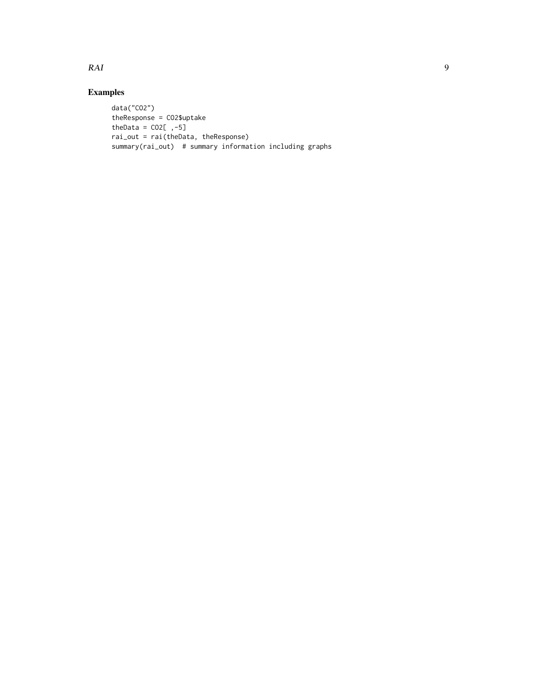#### RAI 9

### Examples

```
data("CO2")
theResponse = CO2$uptake
theData = CO2[,-5]
rai_out = rai(theData, theResponse)
summary(rai_out) # summary information including graphs
```